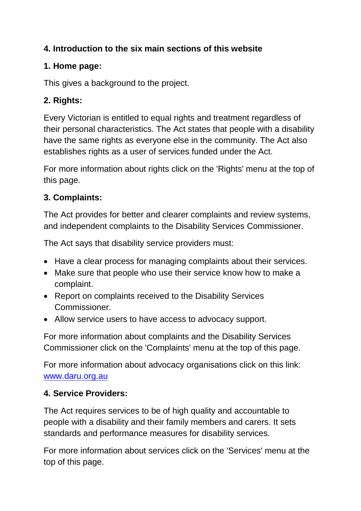### **4. Introduction to the six main sections of this website**

## **1. Home page:**

This gives a background to the project.

# **2. Rights:**

Every Victorian is entitled to equal rights and treatment regardless of their personal characteristics. The Act states that people with a disability have the same rights as everyone else in the community. The Act also establishes rights as a user of services funded under the Act.

For more information about rights click on the 'Rights' menu at the top of this page.

## **3. Complaints:**

The Act provides for better and clearer complaints and review systems, and independent complaints to the Disability Services Commissioner.

The Act says that disability service providers must:

- Have a clear process for managing complaints about their services.
- Make sure that people who use their service know how to make a complaint.
- Report on complaints received to the Disability Services Commissioner.
- Allow service users to have access to advocacy support.

For more information about complaints and the Disability Services Commissioner click on the 'Complaints' menu at the top of this page.

For more information about advocacy organisations click on this link: [www.daru.org.au](http://www.daru.org.au/)

## **4. Service Providers:**

The Act requires services to be of high quality and accountable to people with a disability and their family members and carers. It sets standards and performance measures for disability services.

For more information about services click on the 'Services' menu at the top of this page.